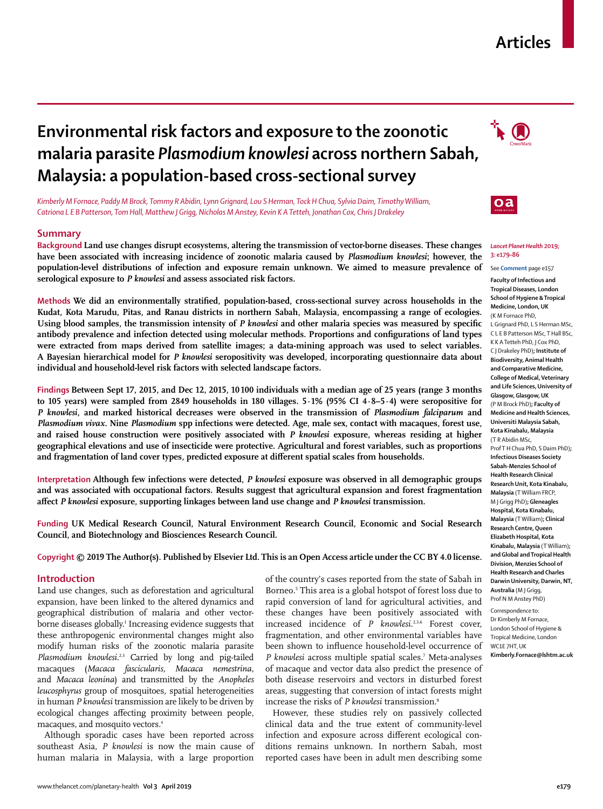## **Articles**

# **Environmental risk factors and exposure to the zoonotic malaria parasite** *Plasmodium knowlesi* **across northern Sabah, Malaysia: a population-based cross-sectional survey**

*Kimberly M Fornace, Paddy M Brock, Tommy R Abidin, Lynn Grignard, Lou S Herman, Tock H Chua, Sylvia Daim, Timothy William, Catriona L E B Patterson, Tom Hall, Matthew J Grigg, Nicholas M Anstey, Kevin K A Tetteh, Jonathan Cox, Chris J Drakeley*

#### **Summary**

**Background Land use changes disrupt ecosystems, altering the transmission of vector-borne diseases. These changes have been associated with increasing incidence of zoonotic malaria caused by** *Plasmodium knowlesi***; however, the population-level distributions of infection and exposure remain unknown. We aimed to measure prevalence of serological exposure to** *P knowlesi* **and assess associated risk factors.**

**Methods We did an environmentally stratified, population-based, cross-sectional survey across households in the Kudat, Kota Marudu, Pitas, and Ranau districts in northern Sabah, Malaysia, encompassing a range of ecologies. Using blood samples, the transmission intensity of** *P knowlesi* **and other malaria species was measured by specific antibody prevalence and infection detected using molecular methods. Proportions and configurations of land types were extracted from maps derived from satellite images; a data-mining approach was used to select variables. A Bayesian hierarchical model for** *P knowlesi* **seropositivity was developed, incorporating questionnaire data about individual and household-level risk factors with selected landscape factors.**

**Findings Between Sept 17, 2015, and Dec 12, 2015, 10 100 individuals with a median age of 25 years (range 3 months to 105 years) were sampled from 2849 households in 180 villages. 5·1% (95% CI 4·8–5·4) were seropositive for**  *P knowlesi***, and marked historical decreases were observed in the transmission of** *Plasmodium falciparum* **and**  *Plasmodium vivax***. Nine** *Plasmodium* **spp infections were detected. Age, male sex, contact with macaques, forest use, and raised house construction were positively associated with** *P knowlesi* **exposure, whereas residing at higher geographical elevations and use of insecticide were protective. Agricultural and forest variables, such as proportions and fragmentation of land cover types, predicted exposure at different spatial scales from households.**

**Interpretation Although few infections were detected,** *P knowlesi* **exposure was observed in all demographic groups and was associated with occupational factors. Results suggest that agricultural expansion and forest fragmentation affect** *P knowlesi* **exposure, supporting linkages between land use change and** *P knowlesi* **transmission.**

**Funding UK Medical Research Council, Natural Environment Research Council, Economic and Social Research Council, and Biotechnology and Biosciences Research Council.**

**Copyright © 2019 The Author(s). Published by Elsevier Ltd. This is an Open Access article under the CC BY 4.0 license.**

### **Introduction**

Land use changes, such as deforestation and agricultural expansion, have been linked to the altered dynamics and geographical distribution of malaria and other vectorborne diseases globally.1 Increasing evidence suggests that these anthropogenic environmental changes might also modify human risks of the zoonotic malaria parasite Plasmodium knowlesi.<sup>2,3</sup> Carried by long and pig-tailed macaques (*Macaca fascicularis, Macaca nemestrina*, and *Macaca leonina*) and transmitted by the *Anopheles leucosphyrus* group of mosquitoes, spatial heterogeneities in human *P knowlesi* transmission are likely to be driven by ecological changes affecting proximity between people, macaques, and mosquito vectors.4

Although sporadic cases have been reported across southeast Asia, *P knowlesi* is now the main cause of human malaria in Malaysia, with a large proportion of the country's cases reported from the state of Sabah in Borneo.<sup>5</sup> This area is a global hotspot of forest loss due to rapid conversion of land for agricultural activities, and these changes have been positively associated with increased incidence of *P knowlesi*. 2,3,6 Forest cover, fragmentation, and other environmental variables have been shown to influence household-level occurrence of *P knowlesi* across multiple spatial scales.7 Meta-analyses of macaque and vector data also predict the presence of both disease reservoirs and vectors in disturbed forest areas, suggesting that conversion of intact forests might increase the risks of *P knowlesi* transmission.8

However, these studies rely on passively collected clinical data and the true extent of community-level infection and exposure across different ecological conditions remains unknown. In northern Sabah, most reported cases have been in adult men describing some





#### *Lancet Planet Health* **2019; 3: e179–86**

See **Comment** page e157

**Faculty of Infectious and Tropical Diseases, London School of Hygiene & Tropical Medicine, London, UK** (K M Fornace PhD, L Grignard PhD, L S Herman MSc, C L E B Patterson MSc, T Hall BSc, K K A Tetteh PhD, J Cox PhD, C J Drakeley PhD)**; Institute of Biodiversity, Animal Health and Comparative Medicine, College of Medical, Veterinary and Life Sciences, University of Glasgow, Glasgow, UK**  (P M Brock PhD)**; Faculty of Medicine and Health Sciences, Universiti Malaysia Sabah, Kota Kinabalu, Malaysia**  (T R Abidin MSc, Prof T H Chua PhD, S Daim PhD)**; Infectious Diseases Society Sabah-Menzies School of Health Research Clinical Research Unit, Kota Kinabalu, Malaysia** (T William FRCP, M J Grigg PhD)**; Gleneagles Hospital, Kota Kinabalu, Malaysia** (T William)**; Clinical Research Centre, Queen Elizabeth Hospital, Kota Kinabalu, Malaysia** (T William)**; and Global and Tropical Health Division, Menzies School of Health Research and Charles Darwin University, Darwin, NT, Australia** (M J Grigg, Prof N M Anstey PhD)

Correspondence to: Dr Kimberly M Fornace, London School of Hygiene & Tropical Medicine, London WC1E 7HT, UK **Kimberly.Fornace@lshtm.ac.uk**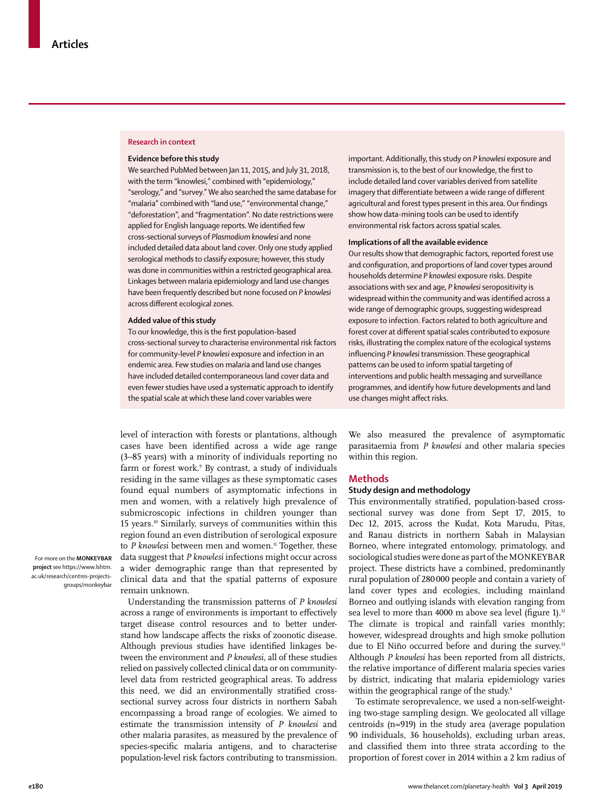### **Research in context**

#### **Evidence before this study**

We searched PubMed between Jan 11, 2015, and July 31, 2018, with the term "knowlesi," combined with "epidemiology," "serology," and "survey." We also searched the same database for "malaria" combined with "land use," "environmental change," "deforestation", and "fragmentation". No date restrictions were applied for English language reports. We identified few cross-sectional surveys of *Plasmodium knowlesi* and none included detailed data about land cover. Only one study applied serological methods to classify exposure; however, this study was done in communities within a restricted geographical area. Linkages between malaria epidemiology and land use changes have been frequently described but none focused on *P knowlesi*  across different ecological zones.

#### **Added value of this study**

To our knowledge, this is the first population-based cross-sectional survey to characterise environmental risk factors for community-level *P knowlesi* exposure and infection in an endemic area. Few studies on malaria and land use changes have included detailed contemporaneous land cover data and even fewer studies have used a systematic approach to identify the spatial scale at which these land cover variables were

level of interaction with forests or plantations, although cases have been identified across a wide age range (3–85 years) with a minority of individuals reporting no farm or forest work.9 By contrast, a study of individuals residing in the same villages as these symptomatic cases found equal numbers of asymptomatic infections in men and women, with a relatively high prevalence of submicroscopic infections in children younger than 15 years.10 Similarly, surveys of communities within this region found an even distribution of serological exposure to *P* knowlesi between men and women.<sup>11</sup> Together, these data suggest that *P knowlesi* infections might occur across a wider demographic range than that represented by clinical data and that the spatial patterns of exposure remain unknown.

For more on the **MONKEYBAR project** see [https://www.lshtm.](https://www.lshtm.ac.uk/research/centres-projects-groups/monkeybar) [ac.uk/research/centres-projects](https://www.lshtm.ac.uk/research/centres-projects-groups/monkeybar)[groups/monkeybar](https://www.lshtm.ac.uk/research/centres-projects-groups/monkeybar)

> Understanding the transmission patterns of *P knowlesi*  across a range of environments is important to effectively target disease control resources and to better understand how landscape affects the risks of zoonotic disease. Although previous studies have identified linkages between the environment and *P knowlesi,* all of these studies relied on passively collected clinical data or on communitylevel data from restricted geographical areas. To address this need, we did an environmentally stratified crosssectional survey across four districts in northern Sabah encompassing a broad range of ecologies. We aimed to estimate the transmission intensity of *P knowlesi* and other malaria parasites, as measured by the prevalence of species-specific malaria antigens, and to characterise population-level risk factors contributing to transmission.

important. Additionally, this study on *P knowlesi* exposure and transmission is, to the best of our knowledge, the first to include detailed land cover variables derived from satellite imagery that differentiate between a wide range of different agricultural and forest types present in this area. Our findings show how data-mining tools can be used to identify environmental risk factors across spatial scales.

#### **Implications of all the available evidence**

Our results show that demographic factors, reported forest use and configuration, and proportions of land cover types around households determine *P knowlesi* exposure risks. Despite associations with sex and age, *P knowlesi* seropositivity is widespread within the community and was identified across a wide range of demographic groups, suggesting widespread exposure to infection. Factors related to both agriculture and forest cover at different spatial scales contributed to exposure risks, illustrating the complex nature of the ecological systems influencing *P knowlesi* transmission. These geographical patterns can be used to inform spatial targeting of interventions and public health messaging and surveillance programmes, and identify how future developments and land use changes might affect risks.

We also measured the prevalence of asymptomatic parasitaemia from *P knowlesi* and other malaria species within this region.

## **Methods**

#### **Study design and methodology**

This environmentally stratified, population-based crosssectional survey was done from Sept 17, 2015, to Dec 12, 2015, across the Kudat, Kota Marudu, Pitas, and Ranau districts in northern Sabah in Malaysian Borneo, where integrated entomology, primatology, and sociological studies were done as part of the [MONKEYBAR](https://www.lshtm.ac.uk/research/centres-projects-groups/monkeybar) project. These districts have a combined, predominantly rural population of 280000 people and contain a variety of land cover types and ecologies, including mainland Borneo and outlying islands with elevation ranging from sea level to more than 4000 m above sea level (figure 1).<sup>12</sup> The climate is tropical and rainfall varies monthly; however, widespread droughts and high smoke pollution due to El Niño occurred before and during the survey.<sup>13</sup> Although *P knowlesi* has been reported from all districts, the relative importance of different malaria species varies by district, indicating that malaria epidemiology varies within the geographical range of the study.<sup>9</sup>

To estimate seroprevalence, we used a non-self-weighting two-stage sampling design. We geolocated all village centroids (n=919) in the study area (average population 90 individuals, 36 households), excluding urban areas, and classified them into three strata according to the proportion of forest cover in 2014 within a 2 km radius of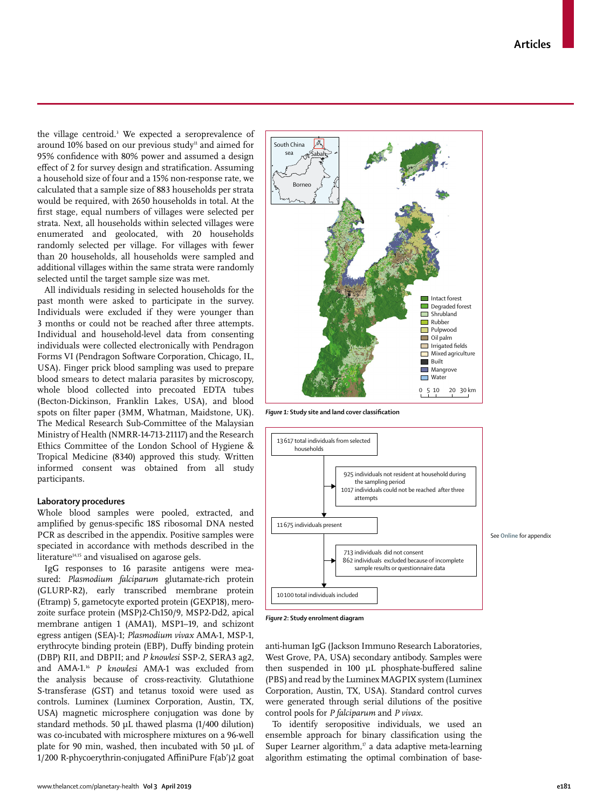the village centroid.3 We expected a seroprevalence of around 10% based on our previous study<sup>11</sup> and aimed for 95% confidence with 80% power and assumed a design effect of 2 for survey design and stratification. Assuming a household size of four and a 15% non-response rate, we calculated that a sample size of 883 households per strata would be required, with 2650 households in total. At the first stage, equal numbers of villages were selected per strata. Next, all households within selected villages were enumerated and geolocated, with 20 households randomly selected per village. For villages with fewer than 20 households, all households were sampled and additional villages within the same strata were randomly selected until the target sample size was met.

All individuals residing in selected households for the past month were asked to participate in the survey. Individuals were excluded if they were younger than 3 months or could not be reached after three attempts. Individual and household-level data from consenting individuals were collected electronically with Pendragon Forms VI (Pendragon Software Corporation, Chicago, IL, USA). Finger prick blood sampling was used to prepare blood smears to detect malaria parasites by microscopy, whole blood collected into precoated EDTA tubes (Becton-Dickinson, Franklin Lakes, USA), and blood spots on filter paper (3MM, Whatman, Maidstone, UK). The Medical Research Sub-Committee of the Malaysian Ministry of Health (NMRR-14-713-21117) and the Research Ethics Committee of the London School of Hygiene & Tropical Medicine (8340) approved this study. Written informed consent was obtained from all study participants.

### **Laboratory procedures**

Whole blood samples were pooled, extracted, and amplified by genus-specific 18S ribosomal DNA nested PCR as described in the appendix. Positive samples were speciated in accordance with methods described in the literature<sup>14,15</sup> and visualised on agarose gels.

IgG responses to 16 parasite antigens were measured: *Plasmodium falciparum* glutamate-rich protein (GLURP-R2), early transcribed membrane protein (Etramp) 5, gametocyte exported protein (GEXP18), merozoite surface protein (MSP)2-Ch150/9, MSP2-Dd2, apical membrane antigen 1 (AMA1), MSP1–19, and schizont egress antigen (SEA)-1; *Plasmodium vivax* AMA-1, MSP-1, erythrocyte binding protein (EBP), Duffy binding protein (DBP) RII, and DBPII; and *P knowlesi* SSP-2, SERA3 ag2, and AMA-1.16 *P knowlesi* AMA-1 was excluded from the analysis because of cross-reactivity. Glutathione S-transferase (GST) and tetanus toxoid were used as controls. Luminex (Luminex Corporation, Austin, TX, USA) magnetic microsphere conjugation was done by standard methods. 50 μL thawed plasma (1/400 dilution) was co-incubated with microsphere mixtures on a 96-well plate for 90 min, washed, then incubated with 50 μL of 1/200 R-phycoerythrin-conjugated AffiniPure F(abʹ)2 goat



*Figure 1:* **Study site and land cover classification**



*Figure 2***: Study enrolment diagram**

anti-human IgG (Jackson Immuno Research Laboratories, West Grove, PA, USA) secondary antibody. Samples were then suspended in 100 μL phosphate-buffered saline (PBS) and read by the Luminex MAGPIX system (Luminex Corporation, Austin, TX, USA). Standard control curves were generated through serial dilutions of the positive control pools for *P falciparum* and *P vivax*.

To identify seropositive individuals, we used an ensemble approach for binary classification using the Super Learner algorithm, $\frac{17}{12}$  a data adaptive meta-learning algorithm estimating the optimal combination of base-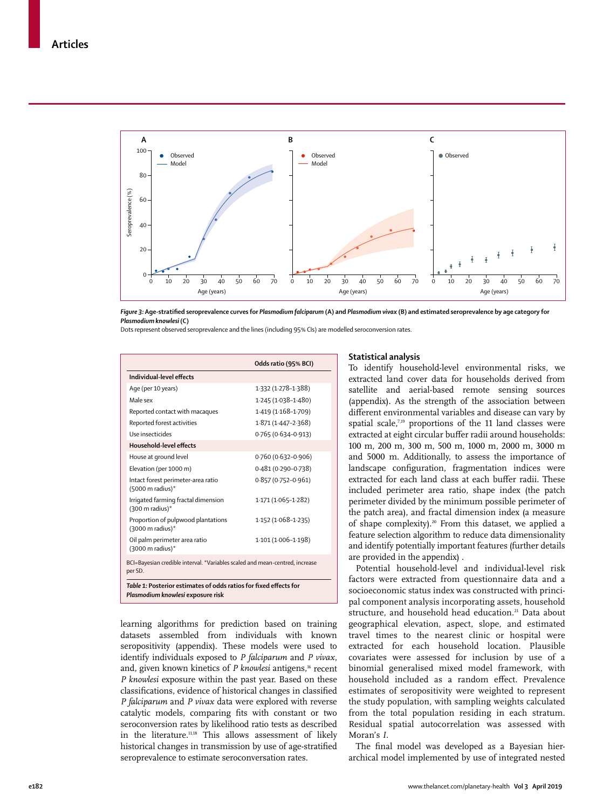

*Figure 3:* **Age-stratified seroprevalence curves for** *Plasmodium falciparum* **(A) and** *Plasmodium vivax* **(B) and estimated seroprevalence by age category for**  *Plasmodium knowlesi* **(C)** 

Dots represent observed seroprevalence and the lines (including 95% CIs) are modelled seroconversion rates.

|                                                                                                        | Odds ratio (95% BCI)   |  |  |
|--------------------------------------------------------------------------------------------------------|------------------------|--|--|
| Individual-level effects                                                                               |                        |  |  |
| Age (per 10 years)                                                                                     | 1.332 (1.278-1.388)    |  |  |
| Male sex                                                                                               | 1.245 (1.038-1.480)    |  |  |
| Reported contact with macaques                                                                         | 1.419 (1.168-1.709)    |  |  |
| Reported forest activities                                                                             | 1.871 (1.447-2.368)    |  |  |
| Use insecticides                                                                                       | 0.765 (0.634-0.913)    |  |  |
| Household-level effects                                                                                |                        |  |  |
| House at ground level                                                                                  | 0.760 (0.632-0.906)    |  |  |
| Elevation (per 1000 m)                                                                                 | $0.481(0.290 - 0.738)$ |  |  |
| Intact forest perimeter-area ratio<br>(5000 m radius)*                                                 | 0.857 (0.752-0.961)    |  |  |
| Irrigated farming fractal dimension<br>$(300 \text{ m} \text{ radius})^*$                              | 1.171 (1.065-1.282)    |  |  |
| Proportion of pulpwood plantations<br>$(3000 \text{ m} \text{ radius})$ *                              | $1.152(1.068 - 1.235)$ |  |  |
| Oil palm perimeter area ratio<br>$(3000 \text{ m} \text{ radius})$ *                                   | 1.101 (1.006-1.198)    |  |  |
| BCI=Bayesian credible interval. *Variables scaled and mean-centred, increase<br>per SD.                |                        |  |  |
| Table 1: Posterior estimates of odds ratios for fixed effects for<br>Plasmodium knowlesi exposure risk |                        |  |  |

learning algorithms for prediction based on training datasets assembled from individuals with known seropositivity (appendix). These models were used to identify individuals exposed to *P falciparum* and *P vivax*, and, given known kinetics of *P knowlesi* antigens,<sup>16</sup> recent *P knowlesi* exposure within the past year. Based on these classifications, evidence of historical changes in classified *P falciparum* and *P vivax* data were explored with reverse catalytic models, comparing fits with constant or two seroconversion rates by likelihood ratio tests as described in the literature.<sup>11,18</sup> This allows assessment of likely historical changes in transmission by use of age-stratified seroprevalence to estimate seroconversation rates.

## **Statistical analysis**

To identify household-level environmental risks, we extracted land cover data for households derived from satellite and aerial-based remote sensing sources (appendix). As the strength of the association between different environmental variables and disease can vary by spatial scale,<sup>7,19</sup> proportions of the 11 land classes were extracted at eight circular buffer radii around households: 100 m, 200 m, 300 m, 500 m, 1000 m, 2000 m, 3000 m and 5000 m. Additionally, to assess the importance of landscape configuration, fragmentation indices were extracted for each land class at each buffer radii. These included perimeter area ratio, shape index (the patch perimeter divided by the minimum possible perimeter of the patch area), and fractal dimension index (a measure of shape complexity).20 From this dataset, we applied a feature selection algorithm to reduce data dimensionality and identify potentially important features (further details are provided in the appendix) .

Potential household-level and individual-level risk factors were extracted from questionnaire data and a socioeconomic status index was constructed with principal component analysis incorporating assets, household structure, and household head education.<sup>21</sup> Data about geographical elevation, aspect, slope, and estimated travel times to the nearest clinic or hospital were extracted for each household location. Plausible covariates were assessed for inclusion by use of a binomial generalised mixed model framework, with household included as a random effect. Prevalence estimates of seropositivity were weighted to represent the study population, with sampling weights calculated from the total population residing in each stratum. Residual spatial autocorrelation was assessed with Moran's *I*.

The final model was developed as a Bayesian hierarchical model implemented by use of integrated nested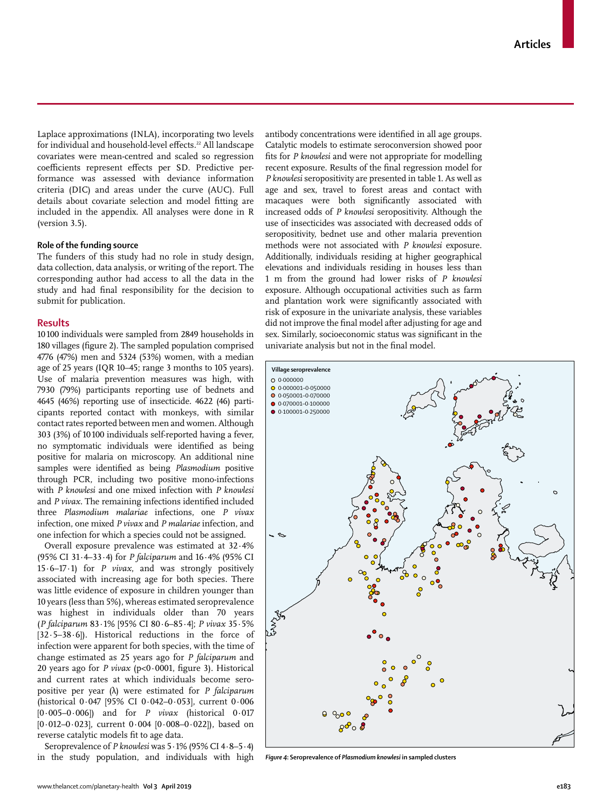Laplace approximations (INLA), incorporating two levels for individual and household-level effects.<sup>22</sup> All landscape covariates were mean-centred and scaled so regression coefficients represent effects per SD. Predictive performance was assessed with deviance information criteria (DIC) and areas under the curve (AUC). Full details about covariate selection and model fitting are included in the appendix. All analyses were done in R (version 3.5).

### **Role of the funding source**

The funders of this study had no role in study design, data collection, data analysis, or writing of the report. The corresponding author had access to all the data in the study and had final responsibility for the decision to submit for publication.

#### **Results**

10100 individuals were sampled from 2849 households in 180 villages (figure 2). The sampled population comprised 4776 (47%) men and 5324 (53%) women, with a median age of 25 years (IQR 10–45; range 3 months to 105 years). Use of malaria prevention measures was high, with 7930 (79%) participants reporting use of bednets and 4645 (46%) reporting use of insecticide. 4622 (46) participants reported contact with monkeys, with similar contact rates reported between men and women. Although 303 (3%) of 10100 individuals self-reported having a fever, no symptomatic individuals were identified as being positive for malaria on microscopy. An additional nine samples were identified as being *Plasmodium* positive through PCR, including two positive mono-infections with *P knowlesi* and one mixed infection with *P knowlesi*  and *P vivax*. The remaining infections identified included three *Plasmodium malariae* infections, one *P vivax*  infection, one mixed *P vivax* and *P malariae* infection, and one infection for which a species could not be assigned.

Overall exposure prevalence was estimated at 32·4% (95% CI 31·4–33·4) for *P falciparum* and 16·4% (95% CI 15·6–17·1) for *P vivax*, and was strongly positively associated with increasing age for both species. There was little evidence of exposure in children younger than 10 years (less than 5%), whereas estimated seroprevalence was highest in individuals older than 70 years (*P falciparum* 83·1% [95% CI 80·6–85·4]; *P vivax* 35·5% [32·5–38·6]). Historical reductions in the force of infection were apparent for both species, with the time of change estimated as 25 years ago for *P falciparum* and 20 years ago for *P vivax* (p<0·0001, figure 3). Historical and current rates at which individuals become seropositive per year (λ) were estimated for *P falciparum* (historical 0·047 [95% CI 0·042–0·053], current 0·006 [0·005–0·006]) and for *P vivax* (historical 0·017 [0·012–0·023], current 0·004 [0·008–0·022]), based on reverse catalytic models fit to age data.

Seroprevalence of *P knowlesi* was 5·1% (95% CI 4·8–5·4) in the study population, and individuals with high antibody concentrations were identified in all age groups. Catalytic models to estimate seroconversion showed poor fits for *P knowlesi* and were not appropriate for modelling recent exposure*.* Results of the final regression model for *P knowlesi* seropositivity are presented in table 1. As well as age and sex, travel to forest areas and contact with macaques were both significantly associated with increased odds of *P knowlesi* seropositivity. Although the use of insecticides was associated with decreased odds of seropositivity, bednet use and other malaria prevention methods were not associated with *P knowlesi* exposure. Additionally, individuals residing at higher geographical elevations and individuals residing in houses less than 1 m from the ground had lower risks of *P knowlesi* exposure. Although occupational activities such as farm and plantation work were significantly associated with risk of exposure in the univariate analysis, these variables did not improve the final model after adjusting for age and sex. Similarly, socioeconomic status was significant in the univariate analysis but not in the final model.



*Figure 4***: Seroprevalence of** *Plasmodium knowlesi* **in sampled clusters**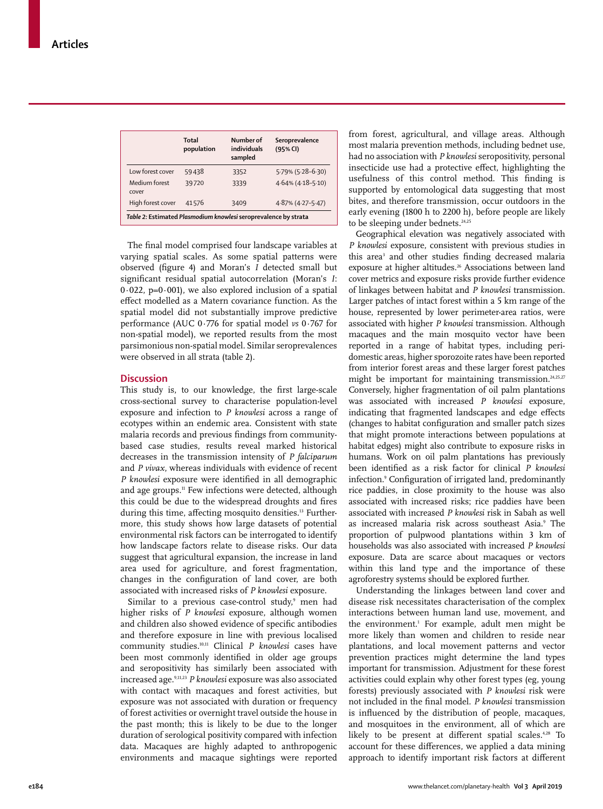|                                                                 | Total<br>population | Number of<br>individuals<br>sampled | Seroprevalence<br>(95% CI) |  |
|-----------------------------------------------------------------|---------------------|-------------------------------------|----------------------------|--|
| Low forest cover                                                | 59438               | 3352                                | 5.79% (5.28-6.30)          |  |
| Medium forest<br>cover                                          | 39720               | 3339                                | $4.64\%$ (4.18-5.10)       |  |
| High forest cover                                               | 41576               | 3409                                | $4.87\%$ (4.27-5.47)       |  |
| Table 2: Estimated Plasmodium knowlesi seroprevalence by strata |                     |                                     |                            |  |

The final model comprised four landscape variables at varying spatial scales. As some spatial patterns were observed (figure 4) and Moran's *I* detected small but significant residual spatial autocorrelation (Moran's *I*:  $0.022$ , p= $0.001$ ), we also explored inclusion of a spatial effect modelled as a Matern covariance function. As the spatial model did not substantially improve predictive performance (AUC 0·776 for spatial model *vs* 0·767 for non-spatial model), we reported results from the most parsimonious non-spatial model. Similar seroprevalences were observed in all strata (table 2).

## **Discussion**

This study is, to our knowledge, the first large-scale cross-sectional survey to characterise population-level exposure and infection to *P knowlesi* across a range of ecotypes within an endemic area. Consistent with state malaria records and previous findings from communitybased case studies, results reveal marked historical decreases in the transmission intensity of *P falciparum*  and *P vivax*, whereas individuals with evidence of recent *P knowlesi* exposure were identified in all demographic and age groups.<sup>11</sup> Few infections were detected, although this could be due to the widespread droughts and fires during this time, affecting mosquito densities.<sup>13</sup> Furthermore, this study shows how large datasets of potential environmental risk factors can be interrogated to identify how landscape factors relate to disease risks. Our data suggest that agricultural expansion, the increase in land area used for agriculture, and forest fragmentation, changes in the configuration of land cover, are both associated with increased risks of *P knowlesi* exposure.

Similar to a previous case-control study,<sup>9</sup> men had higher risks of *P knowlesi* exposure, although women and children also showed evidence of specific antibodies and therefore exposure in line with previous localised community studies.10,11 Clinical *P knowlesi* cases have been most commonly identified in older age groups and seropositivity has similarly been associated with increased age.9,11,23 *P knowlesi* exposure was also associated with contact with macaques and forest activities, but exposure was not associated with duration or frequency of forest activities or overnight travel outside the house in the past month; this is likely to be due to the longer duration of serological positivity compared with infection data. Macaques are highly adapted to anthropogenic environments and macaque sightings were reported

from forest, agricultural, and village areas. Although most malaria prevention methods, including bednet use, had no association with *P knowlesi* seropositivity, personal insecticide use had a protective effect, highlighting the usefulness of this control method. This finding is supported by entomological data suggesting that most bites, and therefore transmission, occur outdoors in the early evening (1800 h to 2200 h), before people are likely to be sleeping under bednets.<sup>24,25</sup>

Geographical elevation was negatively associated with *P knowlesi* exposure, consistent with previous studies in this area<sup>3</sup> and other studies finding decreased malaria exposure at higher altitudes.<sup>26</sup> Associations between land cover metrics and exposure risks provide further evidence of linkages between habitat and *P knowlesi* transmission. Larger patches of intact forest within a 5 km range of the house, represented by lower perimeter-area ratios, were associated with higher *P knowlesi* transmission. Although macaques and the main mosquito vector have been reported in a range of habitat types, including peridomestic areas, higher sporozoite rates have been reported from interior forest areas and these larger forest patches might be important for maintaining transmission.<sup>24,25,27</sup> Conversely, higher fragmentation of oil palm plantations was associated with increased *P knowlesi* exposure, indicating that fragmented landscapes and edge effects (changes to habitat configuration and smaller patch sizes that might promote interactions between populations at habitat edges) might also contribute to exposure risks in humans. Work on oil palm plantations has previously been identified as a risk factor for clinical *P knowlesi*  infection.<sup>9</sup> Configuration of irrigated land, predominantly rice paddies, in close proximity to the house was also associated with increased risks; rice paddies have been associated with increased *P knowlesi* risk in Sabah as well as increased malaria risk across southeast Asia.<sup>9</sup> The proportion of pulpwood plantations within 3 km of households was also associated with increased *P knowlesi*  exposure. Data are scarce about macaques or vectors within this land type and the importance of these agroforestry systems should be explored further.

Understanding the linkages between land cover and disease risk necessitates characterisation of the complex interactions between human land use, movement, and the environment.1 For example, adult men might be more likely than women and children to reside near plantations, and local movement patterns and vector prevention practices might determine the land types important for transmission. Adjustment for these forest activities could explain why other forest types (eg, young forests) previously associated with *P knowlesi* risk were not included in the final model. *P knowlesi* transmission is influenced by the distribution of people, macaques, and mosquitoes in the environment, all of which are likely to be present at different spatial scales.<sup>4,28</sup> To account for these differences, we applied a data mining approach to identify important risk factors at different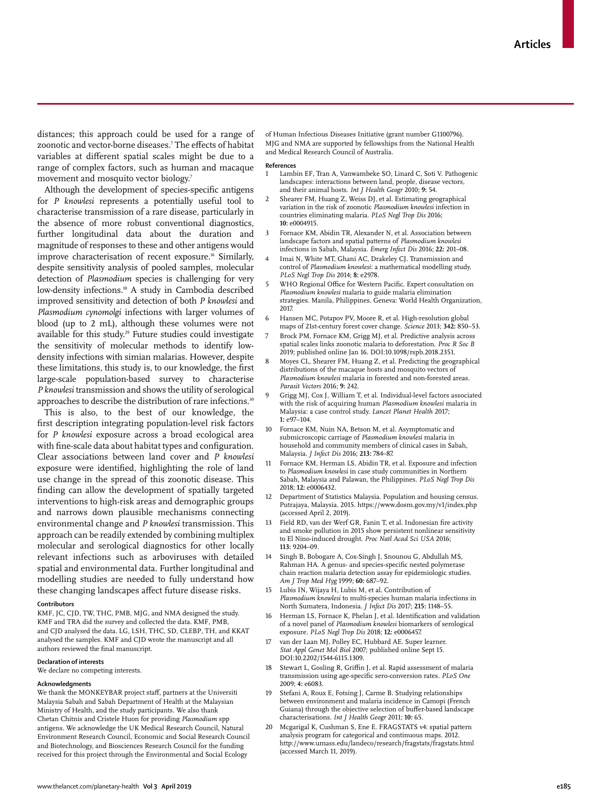distances; this approach could be used for a range of zoonotic and vector-borne diseases.7 The effects of habitat variables at different spatial scales might be due to a range of complex factors, such as human and macaque movement and mosquito vector biology.<sup>7</sup>

Although the development of species-specific antigens for *P knowlesi* represents a potentially useful tool to characterise transmission of a rare disease, particularly in the absence of more robust conventional diagnostics, further longitudinal data about the duration and magnitude of responses to these and other antigens would improve characterisation of recent exposure.<sup>16</sup> Similarly, despite sensitivity analysis of pooled samples, molecular detection of *Plasmodium* species is challenging for very low-density infections.10 A study in Cambodia described improved sensitivity and detection of both *P knowlesi* and *Plasmodium cynomolgi* infections with larger volumes of blood (up to 2 mL), although these volumes were not available for this study.<sup>29</sup> Future studies could investigate the sensitivity of molecular methods to identify lowdensity infections with simian malarias. However, despite these limitations, this study is, to our knowledge, the first large-scale population-based survey to characterise *P knowlesi* transmission and shows the utility of serological approaches to describe the distribution of rare infections.<sup>30</sup>

This is also, to the best of our knowledge, the first description integrating population-level risk factors for *P knowlesi* exposure across a broad ecological area with fine-scale data about habitat types and configuration. Clear associations between land cover and *P knowlesi* exposure were identified, highlighting the role of land use change in the spread of this zoonotic disease. This finding can allow the development of spatially targeted interventions to high-risk areas and demographic groups and narrows down plausible mechanisms connecting environmental change and *P knowlesi* transmission. This approach can be readily extended by combining multiplex molecular and serological diagnostics for other locally relevant infections such as arboviruses with detailed spatial and environmental data. Further longitudinal and modelling studies are needed to fully understand how these changing landscapes affect future disease risks.

#### **Contributors**

KMF, JC, CJD, TW, THC, PMB, MJG, and NMA designed the study. KMF and TRA did the survey and collected the data. KMF, PMB, and CJD analysed the data. LG, LSH, THC, SD, CLEBP, TH, and KKAT analysed the samples. KMF and CJD wrote the manuscript and all authors reviewed the final manuscript.

#### **Declaration of interests**

We declare no competing interests.

#### **Acknowledgments**

We thank the MONKEYBAR project staff, partners at the Universiti Malaysia Sabah and Sabah Department of Health at the Malaysian Ministry of Health, and the study participants. We also thank Chetan Chitnis and Cristele Huon for providing *Plasmodium* spp antigens. We acknowledge the UK Medical Research Council, Natural Environment Research Council, Economic and Social Research Council and Biotechnology, and Biosciences Research Council for the funding received for this project through the Environmental and Social Ecology

of Human Infectious Diseases Initiative (grant number G1100796). MJG and NMA are supported by fellowships from the National Health and Medical Research Council of Australia.

#### **References**

- 1 Lambin EF, Tran A, Vanwambeke SO, Linard C, Soti V. Pathogenic landscapes: interactions between land, people, disease vectors, and their animal hosts. *Int J Health Geogr* 2010; **9:** 54.
- 2 Shearer FM, Huang Z, Weiss DJ, et al. Estimating geographical variation in the risk of zoonotic *Plasmodium knowlesi* infection in countries eliminating malaria. *PLoS Negl Trop Dis* 2016; **10:** e0004915.
- 3 Fornace KM, Abidin TR, Alexander N, et al. Association between landscape factors and spatial patterns of *Plasmodium knowlesi* infections in Sabah, Malaysia. *Emerg Infect Dis* 2016; **22:** 201–08.
- Imai N, White MT, Ghani AC, Drakeley CJ. Transmission and control of *Plasmodium knowlesi*: a mathematical modelling study. *PLoS Negl Trop Dis* 2014; **8:** e2978.
- WHO Regional Office for Western Pacific. Expert consultation on *Plasmodium knowlesi* malaria to guide malaria elimination strategies. Manila, Philippines. Geneva: World Health Organization, 2017.
- 6 Hansen MC, Potapov PV, Moore R, et al. High-resolution global maps of 21st-century forest cover change. *Science* 2013; **342:** 850–53.
- 7 Brock PM, Fornace KM, Grigg MJ, et al. Predictive analysis across spatial scales links zoonotic malaria to deforestation. *Proc R Soc B* 2019; published online Jan 16. DOI:10.1098/rspb.2018.2351.
- Moyes CL, Shearer FM, Huang Z, et al. Predicting the geographical distributions of the macaque hosts and mosquito vectors of *Plasmodium knowlesi* malaria in forested and non-forested areas. *Parasit Vectors* 2016; **9:** 242.
- 9 Grigg MJ, Cox J, William T, et al. Individual-level factors associated with the risk of acquiring human *Plasmodium knowlesi* malaria in Malaysia: a case control study. *Lancet Planet Health* 2017; **1:** e97–104.
- 10 Fornace KM, Nuin NA, Betson M, et al. Asymptomatic and submicroscopic carriage of *Plasmodium knowlesi* malaria in household and community members of clinical cases in Sabah, Malaysia. *J Infect Dis* 2016; **213:** 784–87.
- 11 Fornace KM, Herman LS, Abidin TR, et al. Exposure and infection to *Plasmodium knowlesi* in case study communities in Northern Sabah, Malaysia and Palawan, the Philippines. *PLoS Negl Trop Dis* 2018; **12:** e0006432.
- 12 Department of Statistics Malaysia. Population and housing census. Putrajaya, Malaysia. 2015. https://www.dosm.gov.my/v1/index.php (accessed April 2, 2019).
- Field RD, van der Werf GR, Fanin T, et al. Indonesian fire activity and smoke pollution in 2015 show persistent nonlinear sensitivity to El Nino-induced drought. *Proc Natl Acad Sci USA* 2016; **113:** 9204–09.
- 14 Singh B, Bobogare A, Cox-Singh J, Snounou G, Abdullah MS, Rahman HA. A genus- and species-specific nested polymerase chain reaction malaria detection assay for epidemiologic studies. *Am J Trop Med Hyg* 1999; **60:** 687–92.
- Lubis IN, Wijaya H, Lubis M, et al. Contribution of *Plasmodium knowlesi* to multi-species human malaria infections in North Sumatera, Indonesia. *J Infect Dis* 2017; **215:** 1148–55.
- 16 Herman LS, Fornace K, Phelan J, et al. Identification and validation of a novel panel of *Plasmodium knowlesi* biomarkers of serological exposure. *PLoS Negl Trop Dis* 2018; **12:** e0006457.
- van der Laan MJ, Polley EC, Hubbard AE. Super learner. *Stat Appl Genet Mol Biol* 2007; published online Sept 15. DOI:10.2202/1544-6115.1309.
- 18 Stewart L, Gosling R, Griffin J, et al. Rapid assessment of malaria transmission using age-specific sero-conversion rates. *PLoS One* 2009; **4:** e6083.
- 19 Stefani A, Roux E, Fotsing J, Carme B. Studying relationships between environment and malaria incidence in Camopi (French Guiana) through the objective selection of buffer-based landscape characterisations. *Int J Health Geogr* 2011; **10:** 65.
- 20 Mcgarigal K, Cushman S, Ene E. FRAGSTATS v4: spatial pattern analysis program for categorical and continuous maps. 2012. http://www.umass.edu/landeco/research/fragstats/fragstats.html (accessed March 11, 2019).